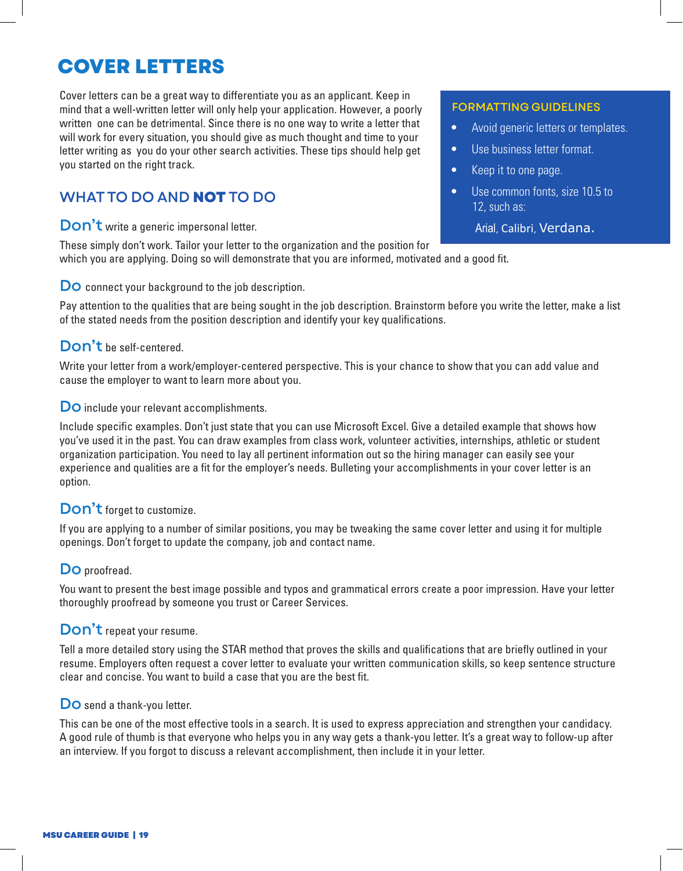# Cover letters **COVER LETTERS**

mind that a well-written letter will only help your application. However, a poorly written one can be detrimental. Since there is no one way to write a letter that written one can be detrimental. Since there is no one way to write a letter that<br>will work for every situation, you should give as much thought and time to your letter writing as you do your other search activities. These tips should help get you started on the right track. Cover letters can be a great way to differentiate you as an applicant. Keep in

## WHAT TO DO AND **NOT** TO DO

 $D \cdot n^2 t$  with a nonegie increased Don't write a generic impersonal letter.

These simply don't work. Tailor your letter to the organization and the position for which you are applying. Doing so will demonstrate that you are informed, motivated and a good fit.

#### Do connect your background to the job description.

Pay attention to the qualities that are being sought in the job description. Brainstorm before you write the letter, make a list of the stated needs from the position description and identify your key qualifications.

#### Make a list of the stated needs from the position description and identify your key qualifications. Don't be self-centered.

Write your letter from a work/employer-centered perspective. This is your chance to show that you can add value and cause the employer to want to learn more about you.

### **Do** include your relevant accomplishments. Do include your relevant accomplishments.

Include specific examples. Don't just state that you can use Microsoft Excel. Give a detailed example that shows how you've used it in the past. You can draw examples from class work, volunteer activities, internships, athletic or student organization participation. You need to lay all pertinent information out so the hiring manager can easily see your experience and qualities are a fit for the employer's needs. Bulleting your accomplishments in your cover letter is an option.

# **Don't** forget to customize. Don't forget to customize.

er tweaking the same cover letter and using it for multiple.<br>If you are applying to a number of similar positions, you may be tweaking the same cover letter and using it for multiple Don't forget to update the company, job and contact name. openings. Don't forget to update the company, job and contact name.

# **Do** proofread. Do proofread.

You want to present the best image possible and typos and grammatical errors create a poor impression. Have your letter letter thoroughly proofread. Career Services is available to review these. thoroughly proofread by someone you trust or Career Services.

### **Don't** repeat your resume.

Tell a more detailed story using the STAR method that proves the skills and qualifications that are briefly outlined in your resume. Employers often request a cover letter to evaluate your written communication skills, so keep sentence structure clear and concise. You want to build a case that you are the best fit.

### **Do** send a thank-you letter. Do send a thank-you letter.

This can be one of the most effective tools in a search. It is used to express appreciation and strengthen your candidacy. A good rule of thumb is that everyone who helps you in any way gets a thank-you letter. It's a great way to follow-up after an interview. If you forgot to discuss a relevant accomplishment, then include it in your letter.

### Formatting guidelines FORMATTING GUIDELINES

- Avoid generic letters or templates.
- Use business letter format.
- Keep it to one page.
- Use common fonts, size 10.5 to 12, such as:

#### Arial, Calibri, Verdana.